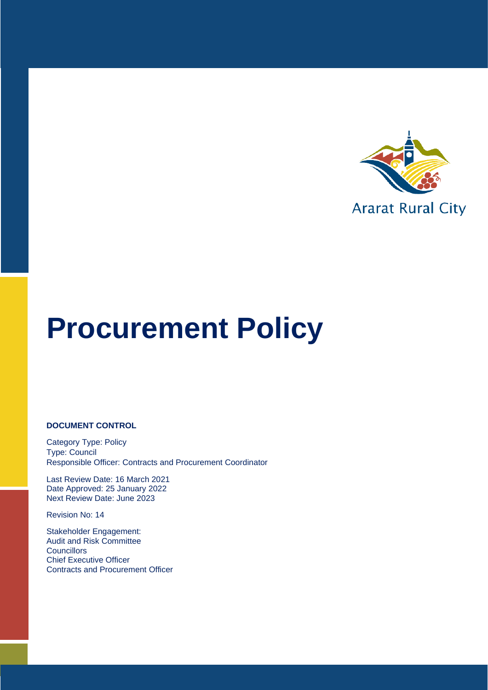

#### **DOCUMENT CONTROL**

Category Type: Policy Type: Council Responsible Officer: Contracts and Procurement Coordinator

Last Review Date: 16 March 2021 Date Approved: 25 January 2022 Next Review Date: June 2023

Revision No: 14

Stakeholder Engagement: Audit and Risk Committee **Councillors** Chief Executive Officer Contracts and Procurement Officer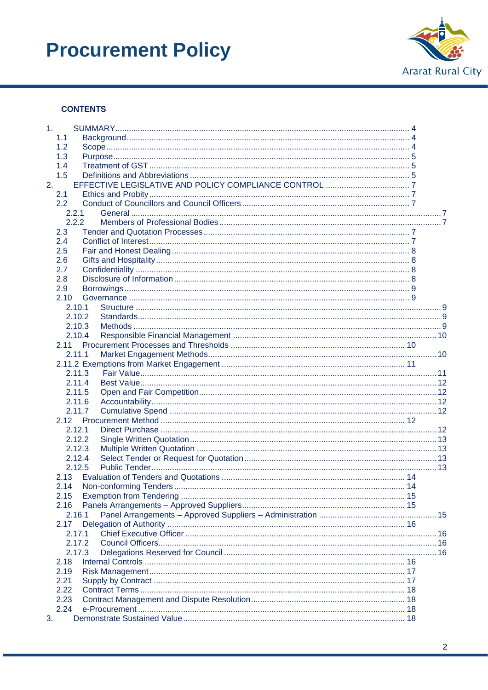

#### **CONTENTS**

| 1.11   |  |
|--------|--|
| 1.1    |  |
| 1.2    |  |
| 1.3    |  |
| 1.4    |  |
| 1.5    |  |
| 2.     |  |
| 2.1    |  |
| 2.2    |  |
| 2.2.1  |  |
| 2.2.2  |  |
| 2.3    |  |
| 2.4    |  |
| 2.5    |  |
| 2.6    |  |
| 2.7    |  |
| 2.8    |  |
| 2.9    |  |
| 2.10   |  |
| 2.10.1 |  |
| 2.10.2 |  |
| 2.10.3 |  |
| 2.10.4 |  |
| 2.11   |  |
| 2.11.1 |  |
|        |  |
| 2.11.3 |  |
| 2.11.4 |  |
| 2.11.5 |  |
| 2.11.6 |  |
| 2.11.7 |  |
|        |  |
| 2.12.1 |  |
| 2.12.2 |  |
| 2.12.3 |  |
| 2.12.4 |  |
| 2.12.5 |  |
| 2.13   |  |
| 2.14   |  |
| 2.15   |  |
| 2.16   |  |
| 2.16.1 |  |
| 2.17   |  |
| 2.17.1 |  |
| 2.17.2 |  |
| 2.17.3 |  |
| 2.18   |  |
| 2.19   |  |
| 2.21   |  |
| 2.22   |  |
| 2.23   |  |
| 2.24   |  |
| 3.     |  |
|        |  |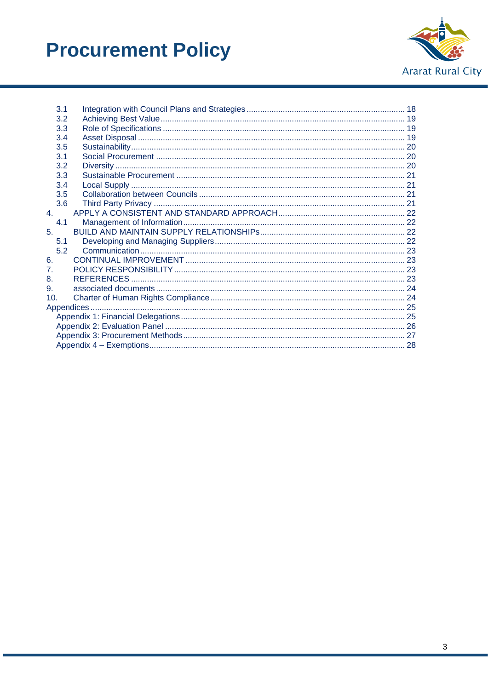

|     | 3.1 |  |
|-----|-----|--|
|     | 3.2 |  |
|     | 3.3 |  |
|     | 3.4 |  |
|     | 3.5 |  |
|     | 3.1 |  |
|     | 3.2 |  |
|     | 3.3 |  |
|     | 3.4 |  |
|     | 3.5 |  |
|     | 3.6 |  |
| 4.  |     |  |
|     | 4.1 |  |
| 5.  |     |  |
|     | 5.1 |  |
|     | 5.2 |  |
| 6.  |     |  |
| 7.  |     |  |
| 8.  |     |  |
| 9.  |     |  |
| 10. |     |  |
|     |     |  |
|     |     |  |
|     |     |  |
|     |     |  |
|     |     |  |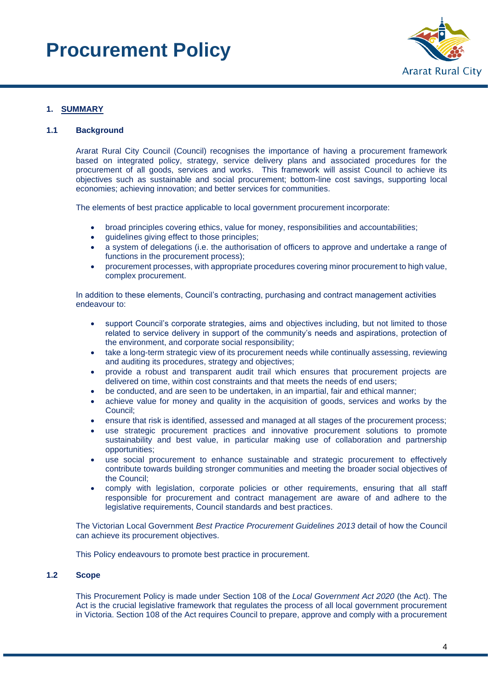

#### <span id="page-3-0"></span>**1. SUMMARY**

#### <span id="page-3-1"></span>**1.1 Background**

Ararat Rural City Council (Council) recognises the importance of having a procurement framework based on integrated policy, strategy, service delivery plans and associated procedures for the procurement of all goods, services and works. This framework will assist Council to achieve its objectives such as sustainable and social procurement; bottom-line cost savings, supporting local economies; achieving innovation; and better services for communities.

The elements of best practice applicable to local government procurement incorporate:

- broad principles covering ethics, value for money, responsibilities and accountabilities;
- guidelines giving effect to those principles;
- a system of delegations (i.e. the authorisation of officers to approve and undertake a range of functions in the procurement process);
- procurement processes, with appropriate procedures covering minor procurement to high value, complex procurement.

In addition to these elements, Council's contracting, purchasing and contract management activities endeavour to:

- support Council's corporate strategies, aims and objectives including, but not limited to those related to service delivery in support of the community's needs and aspirations, protection of the environment, and corporate social responsibility;
- take a long-term strategic view of its procurement needs while continually assessing, reviewing and auditing its procedures, strategy and objectives;
- provide a robust and transparent audit trail which ensures that procurement projects are delivered on time, within cost constraints and that meets the needs of end users;
- be conducted, and are seen to be undertaken, in an impartial, fair and ethical manner;
- achieve value for money and quality in the acquisition of goods, services and works by the Council;
- ensure that risk is identified, assessed and managed at all stages of the procurement process;
- use strategic procurement practices and innovative procurement solutions to promote sustainability and best value, in particular making use of collaboration and partnership opportunities;
- use social procurement to enhance sustainable and strategic procurement to effectively contribute towards building stronger communities and meeting the broader social objectives of the Council;
- comply with legislation, corporate policies or other requirements, ensuring that all staff responsible for procurement and contract management are aware of and adhere to the legislative requirements, Council standards and best practices.

The Victorian Local Government *Best Practice Procurement Guidelines 2013* detail of how the Council can achieve its procurement objectives.

This Policy endeavours to promote best practice in procurement.

#### <span id="page-3-2"></span>**1.2 Scope**

This Procurement Policy is made under Section 108 of the *Local Government Act 2020* (the Act). The Act is the crucial legislative framework that regulates the process of all local government procurement in Victoria. Section 108 of the Act requires Council to prepare, approve and comply with a procurement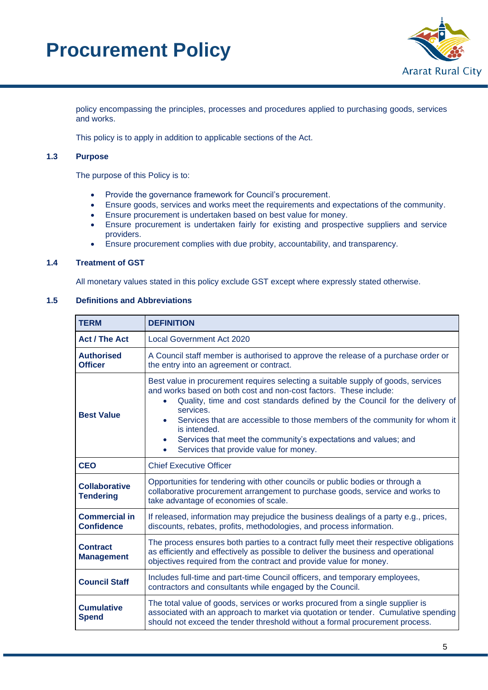

policy encompassing the principles, processes and procedures applied to purchasing goods, services and works.

This policy is to apply in addition to applicable sections of the Act.

#### <span id="page-4-0"></span>**1.3 Purpose**

The purpose of this Policy is to:

- Provide the governance framework for Council's procurement.
- Ensure goods, services and works meet the requirements and expectations of the community.
- Ensure procurement is undertaken based on best value for money.
- Ensure procurement is undertaken fairly for existing and prospective suppliers and service providers.
- Ensure procurement complies with due probity, accountability, and transparency.

#### <span id="page-4-1"></span>**1.4 Treatment of GST**

All monetary values stated in this policy exclude GST except where expressly stated otherwise.

#### <span id="page-4-2"></span>**1.5 Definitions and Abbreviations**

| <b>TERM</b>                                                                                                                                                                                                                                                                                | <b>DEFINITION</b>                                                                                                                                                                                                                                                                                                                                                                                                                                                                                                 |  |  |
|--------------------------------------------------------------------------------------------------------------------------------------------------------------------------------------------------------------------------------------------------------------------------------------------|-------------------------------------------------------------------------------------------------------------------------------------------------------------------------------------------------------------------------------------------------------------------------------------------------------------------------------------------------------------------------------------------------------------------------------------------------------------------------------------------------------------------|--|--|
| <b>Act / The Act</b>                                                                                                                                                                                                                                                                       | <b>Local Government Act 2020</b>                                                                                                                                                                                                                                                                                                                                                                                                                                                                                  |  |  |
| <b>Authorised</b><br><b>Officer</b>                                                                                                                                                                                                                                                        | A Council staff member is authorised to approve the release of a purchase order or<br>the entry into an agreement or contract.                                                                                                                                                                                                                                                                                                                                                                                    |  |  |
| <b>Best Value</b>                                                                                                                                                                                                                                                                          | Best value in procurement requires selecting a suitable supply of goods, services<br>and works based on both cost and non-cost factors. These include:<br>Quality, time and cost standards defined by the Council for the delivery of<br>$\bullet$<br>services.<br>Services that are accessible to those members of the community for whom it<br>$\bullet$<br>is intended.<br>Services that meet the community's expectations and values; and<br>$\bullet$<br>Services that provide value for money.<br>$\bullet$ |  |  |
| <b>CEO</b>                                                                                                                                                                                                                                                                                 | <b>Chief Executive Officer</b>                                                                                                                                                                                                                                                                                                                                                                                                                                                                                    |  |  |
| <b>Collaborative</b><br><b>Tendering</b>                                                                                                                                                                                                                                                   | Opportunities for tendering with other councils or public bodies or through a<br>collaborative procurement arrangement to purchase goods, service and works to<br>take advantage of economies of scale.                                                                                                                                                                                                                                                                                                           |  |  |
| <b>Commercial in</b><br><b>Confidence</b>                                                                                                                                                                                                                                                  | If released, information may prejudice the business dealings of a party e.g., prices,<br>discounts, rebates, profits, methodologies, and process information.                                                                                                                                                                                                                                                                                                                                                     |  |  |
| The process ensures both parties to a contract fully meet their respective obligations<br><b>Contract</b><br>as efficiently and effectively as possible to deliver the business and operational<br><b>Management</b><br>objectives required from the contract and provide value for money. |                                                                                                                                                                                                                                                                                                                                                                                                                                                                                                                   |  |  |
| <b>Council Staff</b>                                                                                                                                                                                                                                                                       | Includes full-time and part-time Council officers, and temporary employees,<br>contractors and consultants while engaged by the Council.                                                                                                                                                                                                                                                                                                                                                                          |  |  |
| <b>Cumulative</b><br><b>Spend</b>                                                                                                                                                                                                                                                          | The total value of goods, services or works procured from a single supplier is<br>associated with an approach to market via quotation or tender. Cumulative spending<br>should not exceed the tender threshold without a formal procurement process.                                                                                                                                                                                                                                                              |  |  |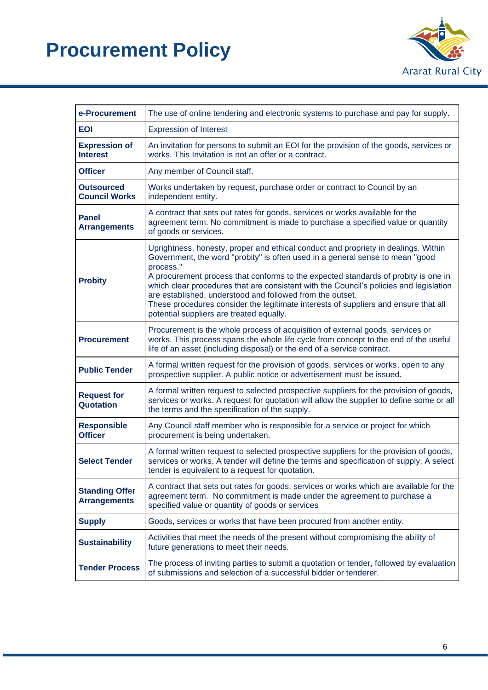

| e-Procurement<br>The use of online tendering and electronic systems to purchase and pay for supply. |                                                                                                                                                                                                                                                                                                                                                                                                                                                                                                                                                                  |
|-----------------------------------------------------------------------------------------------------|------------------------------------------------------------------------------------------------------------------------------------------------------------------------------------------------------------------------------------------------------------------------------------------------------------------------------------------------------------------------------------------------------------------------------------------------------------------------------------------------------------------------------------------------------------------|
| <b>EOI</b>                                                                                          | <b>Expression of Interest</b>                                                                                                                                                                                                                                                                                                                                                                                                                                                                                                                                    |
| <b>Expression of</b><br><b>Interest</b>                                                             | An invitation for persons to submit an EOI for the provision of the goods, services or<br>works. This Invitation is not an offer or a contract.                                                                                                                                                                                                                                                                                                                                                                                                                  |
| <b>Officer</b>                                                                                      | Any member of Council staff.                                                                                                                                                                                                                                                                                                                                                                                                                                                                                                                                     |
| <b>Outsourced</b><br><b>Council Works</b>                                                           | Works undertaken by request, purchase order or contract to Council by an<br>independent entity.                                                                                                                                                                                                                                                                                                                                                                                                                                                                  |
| <b>Panel</b><br><b>Arrangements</b>                                                                 | A contract that sets out rates for goods, services or works available for the<br>agreement term. No commitment is made to purchase a specified value or quantity<br>of goods or services.                                                                                                                                                                                                                                                                                                                                                                        |
| <b>Probity</b>                                                                                      | Uprightness, honesty, proper and ethical conduct and propriety in dealings. Within<br>Government, the word "probity" is often used in a general sense to mean "good<br>process."<br>A procurement process that conforms to the expected standards of probity is one in<br>which clear procedures that are consistent with the Council's policies and legislation<br>are established, understood and followed from the outset.<br>These procedures consider the legitimate interests of suppliers and ensure that all<br>potential suppliers are treated equally. |
| <b>Procurement</b>                                                                                  | Procurement is the whole process of acquisition of external goods, services or<br>works. This process spans the whole life cycle from concept to the end of the useful<br>life of an asset (including disposal) or the end of a service contract.                                                                                                                                                                                                                                                                                                                |
| <b>Public Tender</b>                                                                                | A formal written request for the provision of goods, services or works, open to any<br>prospective supplier. A public notice or advertisement must be issued.                                                                                                                                                                                                                                                                                                                                                                                                    |
| <b>Request for</b><br>Quotation                                                                     | A formal written request to selected prospective suppliers for the provision of goods,<br>services or works. A request for quotation will allow the supplier to define some or all<br>the terms and the specification of the supply.                                                                                                                                                                                                                                                                                                                             |
| <b>Responsible</b><br><b>Officer</b>                                                                | Any Council staff member who is responsible for a service or project for which<br>procurement is being undertaken.                                                                                                                                                                                                                                                                                                                                                                                                                                               |
| <b>Select Tender</b>                                                                                | A formal written request to selected prospective suppliers for the provision of goods,<br>services or works. A tender will define the terms and specification of supply. A select<br>tender is equivalent to a request for quotation.                                                                                                                                                                                                                                                                                                                            |
| <b>Standing Offer</b><br><b>Arrangements</b>                                                        | A contract that sets out rates for goods, services or works which are available for the<br>agreement term. No commitment is made under the agreement to purchase a<br>specified value or quantity of goods or services                                                                                                                                                                                                                                                                                                                                           |
| <b>Supply</b>                                                                                       | Goods, services or works that have been procured from another entity.                                                                                                                                                                                                                                                                                                                                                                                                                                                                                            |
| <b>Sustainability</b>                                                                               | Activities that meet the needs of the present without compromising the ability of<br>future generations to meet their needs.                                                                                                                                                                                                                                                                                                                                                                                                                                     |
| <b>Tender Process</b>                                                                               | The process of inviting parties to submit a quotation or tender, followed by evaluation<br>of submissions and selection of a successful bidder or tenderer.                                                                                                                                                                                                                                                                                                                                                                                                      |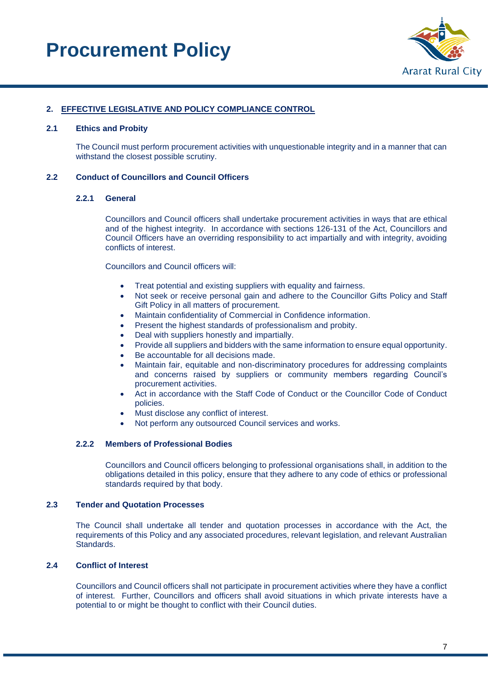

#### <span id="page-6-0"></span>**2. EFFECTIVE LEGISLATIVE AND POLICY COMPLIANCE CONTROL**

#### <span id="page-6-1"></span>**2.1 Ethics and Probity**

The Council must perform procurement activities with unquestionable integrity and in a manner that can withstand the closest possible scrutiny.

#### <span id="page-6-3"></span><span id="page-6-2"></span>**2.2 Conduct of Councillors and Council Officers**

#### **2.2.1 General**

Councillors and Council officers shall undertake procurement activities in ways that are ethical and of the highest integrity. In accordance with sections 126-131 of the Act, Councillors and Council Officers have an overriding responsibility to act impartially and with integrity, avoiding conflicts of interest.

Councillors and Council officers will:

- Treat potential and existing suppliers with equality and fairness.
- Not seek or receive personal gain and adhere to the Councillor Gifts Policy and Staff Gift Policy in all matters of procurement.
- Maintain confidentiality of Commercial in Confidence information.
- Present the highest standards of professionalism and probity.
- Deal with suppliers honestly and impartially.
- Provide all suppliers and bidders with the same information to ensure equal opportunity.
- Be accountable for all decisions made.
- Maintain fair, equitable and non-discriminatory procedures for addressing complaints and concerns raised by suppliers or community members regarding Council's procurement activities.
- Act in accordance with the Staff Code of Conduct or the Councillor Code of Conduct policies.
- Must disclose any conflict of interest.
- Not perform any outsourced Council services and works.

#### <span id="page-6-4"></span>**2.2.2 Members of Professional Bodies**

Councillors and Council officers belonging to professional organisations shall, in addition to the obligations detailed in this policy, ensure that they adhere to any code of ethics or professional standards required by that body.

#### <span id="page-6-5"></span>**2.3 Tender and Quotation Processes**

The Council shall undertake all tender and quotation processes in accordance with the Act, the requirements of this Policy and any associated procedures, relevant legislation, and relevant Australian Standards.

#### <span id="page-6-6"></span>**2.4 Conflict of Interest**

Councillors and Council officers shall not participate in procurement activities where they have a conflict of interest. Further, Councillors and officers shall avoid situations in which private interests have a potential to or might be thought to conflict with their Council duties.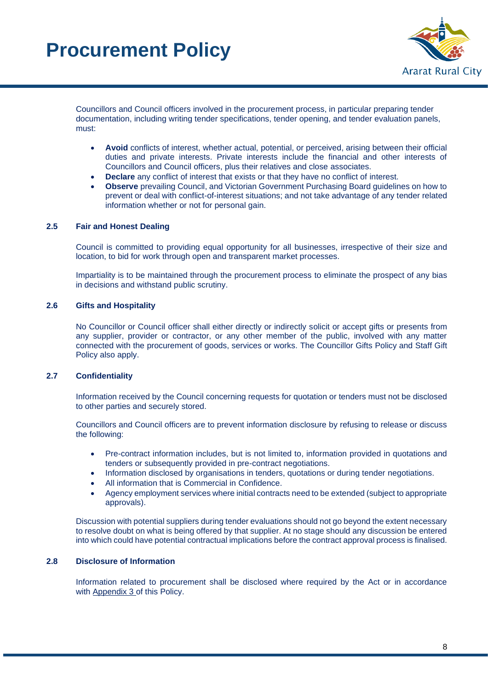

Councillors and Council officers involved in the procurement process, in particular preparing tender documentation, including writing tender specifications, tender opening, and tender evaluation panels, must:

- **Avoid** conflicts of interest, whether actual, potential, or perceived, arising between their official duties and private interests. Private interests include the financial and other interests of Councillors and Council officers, plus their relatives and close associates.
- **Declare** any conflict of interest that exists or that they have no conflict of interest.
- **Observe** prevailing Council, and Victorian Government Purchasing Board guidelines on how to prevent or deal with conflict-of-interest situations; and not take advantage of any tender related information whether or not for personal gain.

#### <span id="page-7-0"></span>**2.5 Fair and Honest Dealing**

Council is committed to providing equal opportunity for all businesses, irrespective of their size and location, to bid for work through open and transparent market processes.

Impartiality is to be maintained through the procurement process to eliminate the prospect of any bias in decisions and withstand public scrutiny.

#### <span id="page-7-1"></span>**2.6 Gifts and Hospitality**

No Councillor or Council officer shall either directly or indirectly solicit or accept gifts or presents from any supplier, provider or contractor, or any other member of the public, involved with any matter connected with the procurement of goods, services or works. The Councillor Gifts Policy and Staff Gift Policy also apply.

#### <span id="page-7-2"></span>**2.7 Confidentiality**

Information received by the Council concerning requests for quotation or tenders must not be disclosed to other parties and securely stored.

Councillors and Council officers are to prevent information disclosure by refusing to release or discuss the following:

- Pre-contract information includes, but is not limited to, information provided in quotations and tenders or subsequently provided in pre-contract negotiations.
- Information disclosed by organisations in tenders, quotations or during tender negotiations.
- All information that is Commercial in Confidence.
- Agency employment services where initial contracts need to be extended (subject to appropriate approvals).

Discussion with potential suppliers during tender evaluations should not go beyond the extent necessary to resolve doubt on what is being offered by that supplier. At no stage should any discussion be entered into which could have potential contractual implications before the contract approval process is finalised.

#### <span id="page-7-3"></span>**2.8 Disclosure of Information**

Information related to procurement shall be disclosed where required by the Act or in accordance with Appendix 3 of this Policy.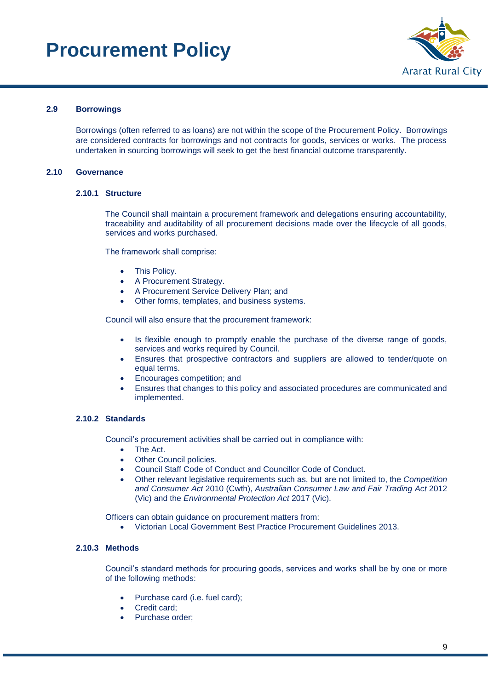

#### <span id="page-8-0"></span>**2.9 Borrowings**

Borrowings (often referred to as loans) are not within the scope of the Procurement Policy. Borrowings are considered contracts for borrowings and not contracts for goods, services or works. The process undertaken in sourcing borrowings will seek to get the best financial outcome transparently.

#### <span id="page-8-2"></span><span id="page-8-1"></span>**2.10 Governance**

#### **2.10.1 Structure**

The Council shall maintain a procurement framework and delegations ensuring accountability, traceability and auditability of all procurement decisions made over the lifecycle of all goods, services and works purchased.

The framework shall comprise:

- This Policy.
- A Procurement Strategy.
- A Procurement Service Delivery Plan; and
- Other forms, templates, and business systems.

Council will also ensure that the procurement framework:

- Is flexible enough to promptly enable the purchase of the diverse range of goods, services and works required by Council.
- Ensures that prospective contractors and suppliers are allowed to tender/quote on equal terms.
- Encourages competition; and
- Ensures that changes to this policy and associated procedures are communicated and implemented.

#### <span id="page-8-3"></span>**2.10.2 Standards**

Council's procurement activities shall be carried out in compliance with:

- The Act.
- Other Council policies.
- Council Staff Code of Conduct and Councillor Code of Conduct.
- Other relevant legislative requirements such as, but are not limited to, the *Competition and Consumer Act* 2010 (Cwth), *Australian Consumer Law and Fair Trading Act* 2012 (Vic) and the *Environmental Protection Act* 2017 (Vic).

Officers can obtain guidance on procurement matters from:

• Victorian Local Government Best Practice Procurement Guidelines 2013.

#### <span id="page-8-4"></span>**2.10.3 Methods**

Council's standard methods for procuring goods, services and works shall be by one or more of the following methods:

- Purchase card (i.e. fuel card);
- Credit card:
- Purchase order;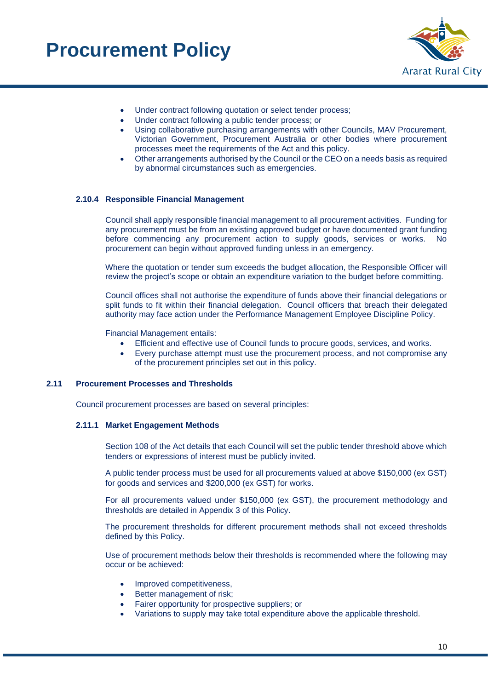

- Under contract following quotation or select tender process;
- Under contract following a public tender process; or
- Using collaborative purchasing arrangements with other Councils, MAV Procurement, Victorian Government, Procurement Australia or other bodies where procurement processes meet the requirements of the Act and this policy.
- Other arrangements authorised by the Council or the CEO on a needs basis as required by abnormal circumstances such as emergencies.

#### <span id="page-9-0"></span>**2.10.4 Responsible Financial Management**

Council shall apply responsible financial management to all procurement activities. Funding for any procurement must be from an existing approved budget or have documented grant funding before commencing any procurement action to supply goods, services or works. No procurement can begin without approved funding unless in an emergency.

Where the quotation or tender sum exceeds the budget allocation, the Responsible Officer will review the project's scope or obtain an expenditure variation to the budget before committing.

Council offices shall not authorise the expenditure of funds above their financial delegations or split funds to fit within their financial delegation. Council officers that breach their delegated authority may face action under the Performance Management Employee Discipline Policy.

Financial Management entails:

- Efficient and effective use of Council funds to procure goods, services, and works.
- Every purchase attempt must use the procurement process, and not compromise any of the procurement principles set out in this policy.

#### <span id="page-9-2"></span><span id="page-9-1"></span>**2.11 Procurement Processes and Thresholds**

Council procurement processes are based on several principles:

#### **2.11.1 Market Engagement Methods**

Section 108 of the Act details that each Council will set the public tender threshold above which tenders or expressions of interest must be publicly invited.

A public tender process must be used for all procurements valued at above \$150,000 (ex GST) for goods and services and \$200,000 (ex GST) for works.

For all procurements valued under \$150,000 (ex GST), the procurement methodology and thresholds are detailed in Appendix 3 of this Policy.

The procurement thresholds for different procurement methods shall not exceed thresholds defined by this Policy.

Use of procurement methods below their thresholds is recommended where the following may occur or be achieved:

- Improved competitiveness.
- Better management of risk;
- Fairer opportunity for prospective suppliers; or
- Variations to supply may take total expenditure above the applicable threshold.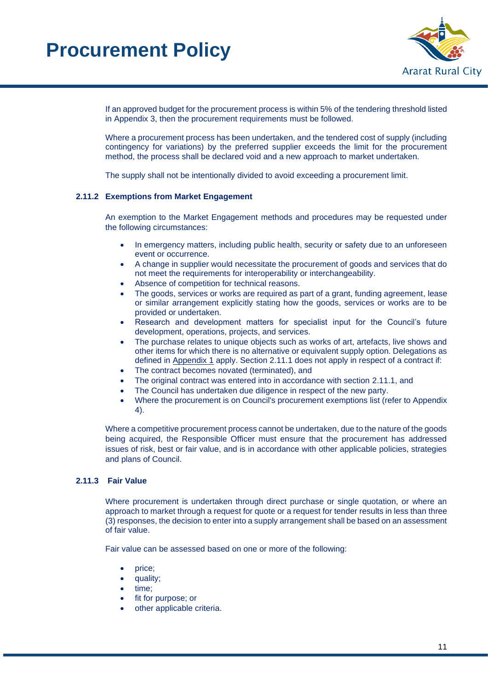

If an approved budget for the procurement process is within 5% of the tendering threshold listed in Appendix 3, then the procurement requirements must be followed.

Where a procurement process has been undertaken, and the tendered cost of supply (including contingency for variations) by the preferred supplier exceeds the limit for the procurement method, the process shall be declared void and a new approach to market undertaken.

The supply shall not be intentionally divided to avoid exceeding a procurement limit.

#### <span id="page-10-0"></span>**2.11.2 Exemptions from Market Engagement**

An exemption to the Market Engagement methods and procedures may be requested under the following circumstances:

- In emergency matters, including public health, security or safety due to an unforeseen event or occurrence.
- A change in supplier would necessitate the procurement of goods and services that do not meet the requirements for interoperability or interchangeability.
- Absence of competition for technical reasons.
- The goods, services or works are required as part of a grant, funding agreement, lease or similar arrangement explicitly stating how the goods, services or works are to be provided or undertaken.
- Research and development matters for specialist input for the Council's future development, operations, projects, and services.
- The purchase relates to unique objects such as works of art, artefacts, live shows and other items for which there is no alternative or equivalent supply option. Delegations as defined in Appendix 1 apply. Section 2.11.1 does not apply in respect of a contract if:
- The contract becomes novated (terminated), and
- The original contract was entered into in accordance with section 2.11.1, and
- The Council has undertaken due diligence in respect of the new party.
- Where the procurement is on Council's procurement exemptions list (refer to Appendix 4).

Where a competitive procurement process cannot be undertaken, due to the nature of the goods being acquired, the Responsible Officer must ensure that the procurement has addressed issues of risk, best or fair value, and is in accordance with other applicable policies, strategies and plans of Council.

#### <span id="page-10-1"></span>**2.11.3 Fair Value**

Where procurement is undertaken through direct purchase or single quotation, or where an approach to market through a request for quote or a request for tender results in less than three (3) responses, the decision to enter into a supply arrangement shall be based on an assessment of fair value.

Fair value can be assessed based on one or more of the following:

- price;
- quality;
- time:
- fit for purpose; or
- other applicable criteria.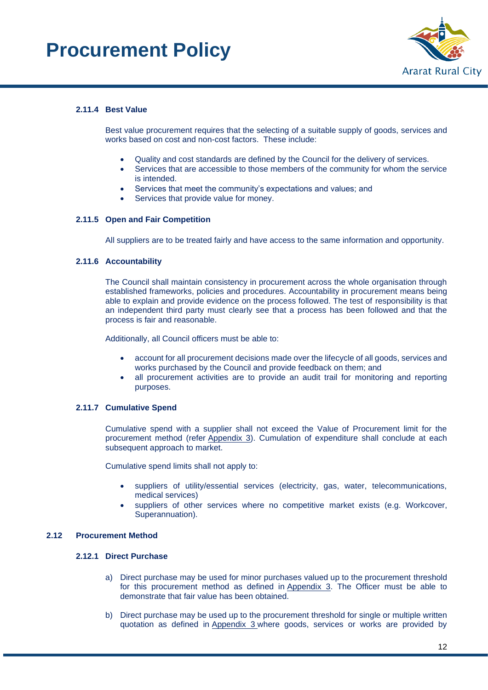

#### <span id="page-11-0"></span>**2.11.4 Best Value**

Best value procurement requires that the selecting of a suitable supply of goods, services and works based on cost and non-cost factors. These include:

- Quality and cost standards are defined by the Council for the delivery of services.
- Services that are accessible to those members of the community for whom the service is intended.
- Services that meet the community's expectations and values; and
- Services that provide value for money.

#### <span id="page-11-1"></span>**2.11.5 Open and Fair Competition**

All suppliers are to be treated fairly and have access to the same information and opportunity.

#### <span id="page-11-2"></span>**2.11.6 Accountability**

The Council shall maintain consistency in procurement across the whole organisation through established frameworks, policies and procedures. Accountability in procurement means being able to explain and provide evidence on the process followed. The test of responsibility is that an independent third party must clearly see that a process has been followed and that the process is fair and reasonable.

Additionally, all Council officers must be able to:

- account for all procurement decisions made over the lifecycle of all goods, services and works purchased by the Council and provide feedback on them; and
- all procurement activities are to provide an audit trail for monitoring and reporting purposes.

#### <span id="page-11-3"></span>**2.11.7 Cumulative Spend**

Cumulative spend with a supplier shall not exceed the Value of Procurement limit for the procurement method (refer Appendix 3). Cumulation of expenditure shall conclude at each subsequent approach to market.

Cumulative spend limits shall not apply to:

- suppliers of utility/essential services (electricity, gas, water, telecommunications, medical services)
- suppliers of other services where no competitive market exists (e.g. Workcover, Superannuation).

#### <span id="page-11-5"></span><span id="page-11-4"></span>**2.12 Procurement Method**

#### **2.12.1 Direct Purchase**

- a) Direct purchase may be used for minor purchases valued up to the procurement threshold for this procurement method as defined in Appendix 3. The Officer must be able to demonstrate that fair value has been obtained.
- b) Direct purchase may be used up to the procurement threshold for single or multiple written quotation as defined in Appendix 3 where goods, services or works are provided by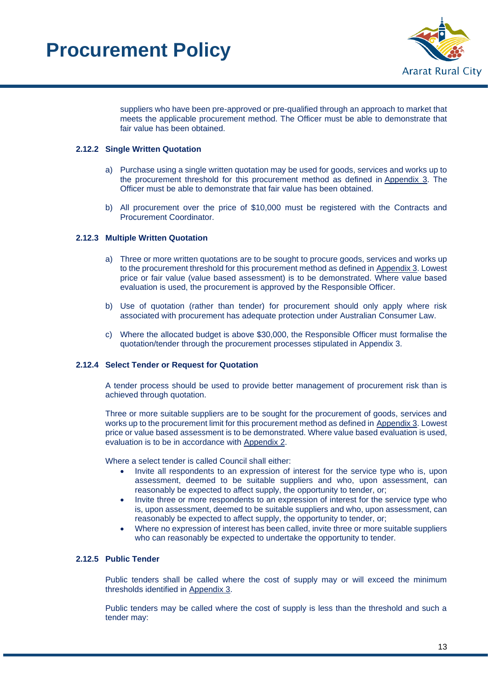

suppliers who have been pre-approved or pre-qualified through an approach to market that meets the applicable procurement method. The Officer must be able to demonstrate that fair value has been obtained.

#### <span id="page-12-0"></span>**2.12.2 Single Written Quotation**

- a) Purchase using a single written quotation may be used for goods, services and works up to the procurement threshold for this procurement method as defined in Appendix 3. The Officer must be able to demonstrate that fair value has been obtained.
- b) All procurement over the price of \$10,000 must be registered with the Contracts and Procurement Coordinator.

#### <span id="page-12-1"></span>**2.12.3 Multiple Written Quotation**

- a) Three or more written quotations are to be sought to procure goods, services and works up to the procurement threshold for this procurement method as defined in Appendix 3. Lowest price or fair value (value based assessment) is to be demonstrated. Where value based evaluation is used, the procurement is approved by the Responsible Officer.
- b) Use of quotation (rather than tender) for procurement should only apply where risk associated with procurement has adequate protection under Australian Consumer Law.
- c) Where the allocated budget is above \$30,000, the Responsible Officer must formalise the quotation/tender through the procurement processes stipulated in Appendix 3.

#### <span id="page-12-2"></span>**2.12.4 Select Tender or Request for Quotation**

A tender process should be used to provide better management of procurement risk than is achieved through quotation.

Three or more suitable suppliers are to be sought for the procurement of goods, services and works up to the procurement limit for this procurement method as defined in Appendix 3. Lowest price or value based assessment is to be demonstrated. Where value based evaluation is used, evaluation is to be in accordance with Appendix 2.

Where a select tender is called Council shall either:

- Invite all respondents to an expression of interest for the service type who is, upon assessment, deemed to be suitable suppliers and who, upon assessment, can reasonably be expected to affect supply, the opportunity to tender, or;
- Invite three or more respondents to an expression of interest for the service type who is, upon assessment, deemed to be suitable suppliers and who, upon assessment, can reasonably be expected to affect supply, the opportunity to tender, or;
- Where no expression of interest has been called, invite three or more suitable suppliers who can reasonably be expected to undertake the opportunity to tender.

#### <span id="page-12-3"></span>**2.12.5 Public Tender**

Public tenders shall be called where the cost of supply may or will exceed the minimum thresholds identified in Appendix 3.

Public tenders may be called where the cost of supply is less than the threshold and such a tender may: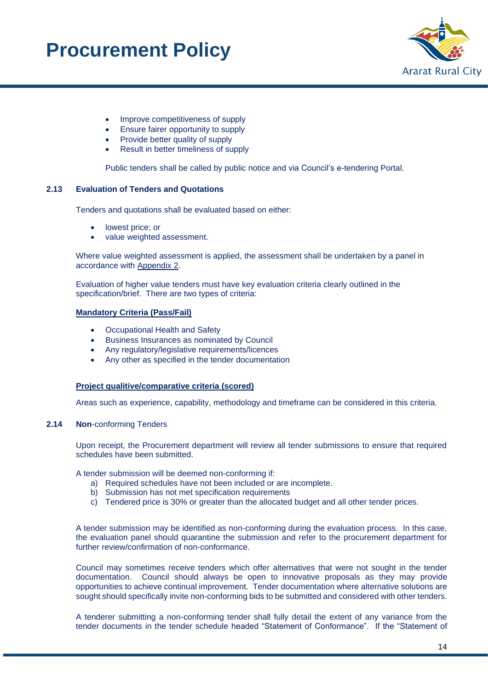

- Improve competitiveness of supply
- Ensure fairer opportunity to supply
- Provide better quality of supply
- Result in better timeliness of supply

Public tenders shall be called by public notice and via Council's e-tendering Portal.

#### <span id="page-13-0"></span>**2.13 Evaluation of Tenders and Quotations**

Tenders and quotations shall be evaluated based on either:

- lowest price; or
- value weighted assessment.

Where value weighted assessment is applied, the assessment shall be undertaken by a panel in accordance with Appendix 2.

Evaluation of higher value tenders must have key evaluation criteria clearly outlined in the specification/brief. There are two types of criteria:

#### **Mandatory Criteria (Pass/Fail)**

- Occupational Health and Safety
- Business Insurances as nominated by Council
- Any regulatory/legislative requirements/licences
- Any other as specified in the tender documentation

#### **Project qualitive/comparative criteria (scored)**

Areas such as experience, capability, methodology and timeframe can be considered in this criteria.

#### <span id="page-13-1"></span>**2.14 Non**-conforming Tenders

Upon receipt, the Procurement department will review all tender submissions to ensure that required schedules have been submitted.

A tender submission will be deemed non-conforming if:

- a) Required schedules have not been included or are incomplete.
- b) Submission has not met specification requirements
- c) Tendered price is 30% or greater than the allocated budget and all other tender prices.

A tender submission may be identified as non-conforming during the evaluation process. In this case, the evaluation panel should quarantine the submission and refer to the procurement department for further review/confirmation of non-conformance.

Council may sometimes receive tenders which offer alternatives that were not sought in the tender documentation. Council should always be open to innovative proposals as they may provide opportunities to achieve continual improvement. Tender documentation where alternative solutions are sought should specifically invite non-conforming bids to be submitted and considered with other tenders.

A tenderer submitting a non-conforming tender shall fully detail the extent of any variance from the tender documents in the tender schedule headed "Statement of Conformance". If the "Statement of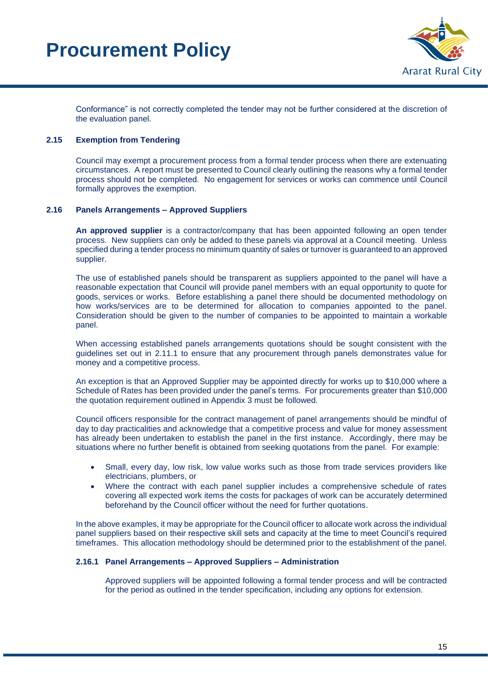

Conformance" is not correctly completed the tender may not be further considered at the discretion of the evaluation panel.

#### <span id="page-14-0"></span>**2.15 Exemption from Tendering**

Council may exempt a procurement process from a formal tender process when there are extenuating circumstances. A report must be presented to Council clearly outlining the reasons why a formal tender process should not be completed. No engagement for services or works can commence until Council formally approves the exemption.

#### <span id="page-14-1"></span>**2.16 Panels Arrangements – Approved Suppliers**

**An approved supplier** is a contractor/company that has been appointed following an open tender process. New suppliers can only be added to these panels via approval at a Council meeting. Unless specified during a tender process no minimum quantity of sales or turnover is guaranteed to an approved supplier.

The use of established panels should be transparent as suppliers appointed to the panel will have a reasonable expectation that Council will provide panel members with an equal opportunity to quote for goods, services or works. Before establishing a panel there should be documented methodology on how works/services are to be determined for allocation to companies appointed to the panel. Consideration should be given to the number of companies to be appointed to maintain a workable panel.

When accessing established panels arrangements quotations should be sought consistent with the guidelines set out in 2.11.1 to ensure that any procurement through panels demonstrates value for money and a competitive process.

An exception is that an Approved Supplier may be appointed directly for works up to \$10,000 where a Schedule of Rates has been provided under the panel's terms. For procurements greater than \$10,000 the quotation requirement outlined in Appendix 3 must be followed.

Council officers responsible for the contract management of panel arrangements should be mindful of day to day practicalities and acknowledge that a competitive process and value for money assessment has already been undertaken to establish the panel in the first instance. Accordingly, there may be situations where no further benefit is obtained from seeking quotations from the panel. For example:

- Small, every day, low risk, low value works such as those from trade services providers like electricians, plumbers, or
- Where the contract with each panel supplier includes a comprehensive schedule of rates covering all expected work items the costs for packages of work can be accurately determined beforehand by the Council officer without the need for further quotations.

In the above examples, it may be appropriate for the Council officer to allocate work across the individual panel suppliers based on their respective skill sets and capacity at the time to meet Council's required timeframes. This allocation methodology should be determined prior to the establishment of the panel.

#### <span id="page-14-2"></span>**2.16.1 Panel Arrangements – Approved Suppliers – Administration**

Approved suppliers will be appointed following a formal tender process and will be contracted for the period as outlined in the tender specification, including any options for extension.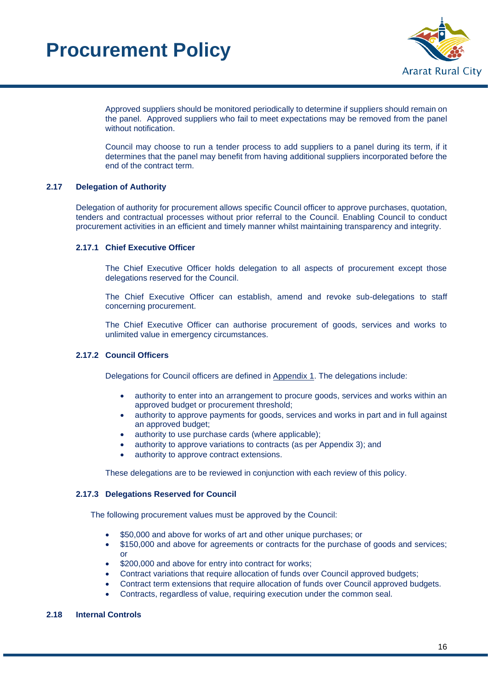

Approved suppliers should be monitored periodically to determine if suppliers should remain on the panel. Approved suppliers who fail to meet expectations may be removed from the panel without notification.

Council may choose to run a tender process to add suppliers to a panel during its term, if it determines that the panel may benefit from having additional suppliers incorporated before the end of the contract term.

#### <span id="page-15-0"></span>**2.17 Delegation of Authority**

Delegation of authority for procurement allows specific Council officer to approve purchases, quotation, tenders and contractual processes without prior referral to the Council. Enabling Council to conduct procurement activities in an efficient and timely manner whilst maintaining transparency and integrity.

#### <span id="page-15-1"></span>**2.17.1 Chief Executive Officer**

The Chief Executive Officer holds delegation to all aspects of procurement except those delegations reserved for the Council.

The Chief Executive Officer can establish, amend and revoke sub-delegations to staff concerning procurement.

The Chief Executive Officer can authorise procurement of goods, services and works to unlimited value in emergency circumstances.

#### <span id="page-15-2"></span>**2.17.2 Council Officers**

Delegations for Council officers are defined in Appendix 1. The delegations include:

- authority to enter into an arrangement to procure goods, services and works within an approved budget or procurement threshold;
- authority to approve payments for goods, services and works in part and in full against an approved budget;
- authority to use purchase cards (where applicable);
- authority to approve variations to contracts (as per Appendix 3); and
- authority to approve contract extensions.

These delegations are to be reviewed in conjunction with each review of this policy.

#### <span id="page-15-3"></span>**2.17.3 Delegations Reserved for Council**

The following procurement values must be approved by the Council:

- \$50,000 and above for works of art and other unique purchases; or
- \$150,000 and above for agreements or contracts for the purchase of goods and services; or
- \$200,000 and above for entry into contract for works;
- Contract variations that require allocation of funds over Council approved budgets;
- Contract term extensions that require allocation of funds over Council approved budgets.
- Contracts, regardless of value, requiring execution under the common seal.

#### <span id="page-15-4"></span>**2.18 Internal Controls**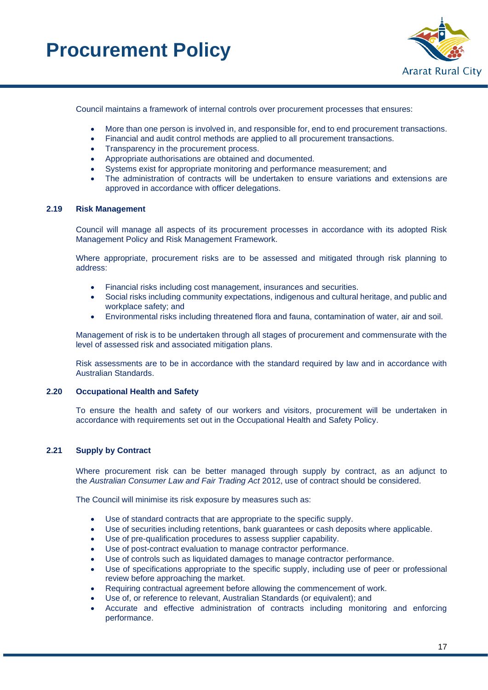

Council maintains a framework of internal controls over procurement processes that ensures:

- More than one person is involved in, and responsible for, end to end procurement transactions.
- Financial and audit control methods are applied to all procurement transactions.
- Transparency in the procurement process.
- Appropriate authorisations are obtained and documented.
- Systems exist for appropriate monitoring and performance measurement; and
- The administration of contracts will be undertaken to ensure variations and extensions are approved in accordance with officer delegations.

#### <span id="page-16-0"></span>**2.19 Risk Management**

Council will manage all aspects of its procurement processes in accordance with its adopted Risk Management Policy and Risk Management Framework.

Where appropriate, procurement risks are to be assessed and mitigated through risk planning to address:

- Financial risks including cost management, insurances and securities.
- Social risks including community expectations, indigenous and cultural heritage, and public and workplace safety; and
- Environmental risks including threatened flora and fauna, contamination of water, air and soil.

Management of risk is to be undertaken through all stages of procurement and commensurate with the level of assessed risk and associated mitigation plans.

Risk assessments are to be in accordance with the standard required by law and in accordance with Australian Standards.

#### **2.20 Occupational Health and Safety**

To ensure the health and safety of our workers and visitors, procurement will be undertaken in accordance with requirements set out in the Occupational Health and Safety Policy.

#### <span id="page-16-1"></span>**2.21 Supply by Contract**

Where procurement risk can be better managed through supply by contract, as an adjunct to the *Australian Consumer Law and Fair Trading Act* 2012, use of contract should be considered.

The Council will minimise its risk exposure by measures such as:

- Use of standard contracts that are appropriate to the specific supply.
- Use of securities including retentions, bank guarantees or cash deposits where applicable.
- Use of pre-qualification procedures to assess supplier capability.
- Use of post-contract evaluation to manage contractor performance.
- Use of controls such as liquidated damages to manage contractor performance.
- Use of specifications appropriate to the specific supply, including use of peer or professional review before approaching the market.
- Requiring contractual agreement before allowing the commencement of work.
- Use of, or reference to relevant, Australian Standards (or equivalent); and
- Accurate and effective administration of contracts including monitoring and enforcing performance.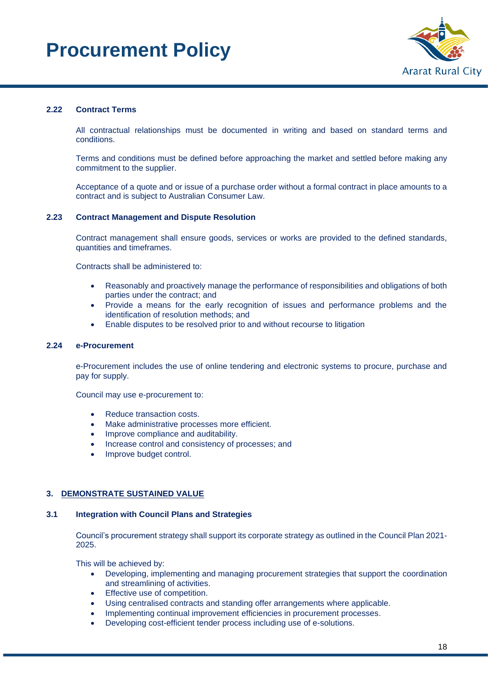

#### <span id="page-17-0"></span>**2.22 Contract Terms**

All contractual relationships must be documented in writing and based on standard terms and conditions.

Terms and conditions must be defined before approaching the market and settled before making any commitment to the supplier.

Acceptance of a quote and or issue of a purchase order without a formal contract in place amounts to a contract and is subject to Australian Consumer Law.

#### <span id="page-17-1"></span>**2.23 Contract Management and Dispute Resolution**

Contract management shall ensure goods, services or works are provided to the defined standards, quantities and timeframes.

Contracts shall be administered to:

- Reasonably and proactively manage the performance of responsibilities and obligations of both parties under the contract; and
- Provide a means for the early recognition of issues and performance problems and the identification of resolution methods; and
- Enable disputes to be resolved prior to and without recourse to litigation

#### <span id="page-17-2"></span>**2.24 e-Procurement**

e-Procurement includes the use of online tendering and electronic systems to procure, purchase and pay for supply.

Council may use e-procurement to:

- Reduce transaction costs.
- Make administrative processes more efficient.
- Improve compliance and auditability.
- Increase control and consistency of processes; and
- Improve budget control.

#### <span id="page-17-3"></span>**3. DEMONSTRATE SUSTAINED VALUE**

#### <span id="page-17-4"></span>**3.1 Integration with Council Plans and Strategies**

Council's procurement strategy shall support its corporate strategy as outlined in the Council Plan 2021- 2025.

This will be achieved by:

- Developing, implementing and managing procurement strategies that support the coordination and streamlining of activities.
- Effective use of competition.
- Using centralised contracts and standing offer arrangements where applicable.
- Implementing continual improvement efficiencies in procurement processes.
- Developing cost-efficient tender process including use of e-solutions.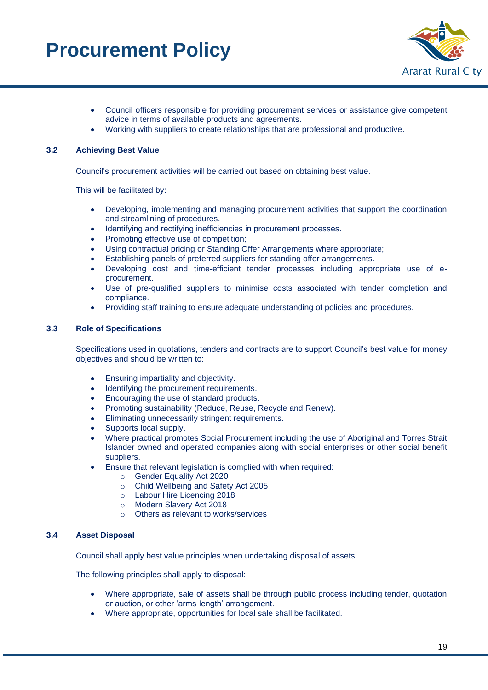

- Council officers responsible for providing procurement services or assistance give competent advice in terms of available products and agreements.
- Working with suppliers to create relationships that are professional and productive.

#### <span id="page-18-0"></span>**3.2 Achieving Best Value**

Council's procurement activities will be carried out based on obtaining best value.

This will be facilitated by:

- Developing, implementing and managing procurement activities that support the coordination and streamlining of procedures.
- Identifying and rectifying inefficiencies in procurement processes.
- Promoting effective use of competition;
- Using contractual pricing or Standing Offer Arrangements where appropriate;
- Establishing panels of preferred suppliers for standing offer arrangements.
- Developing cost and time-efficient tender processes including appropriate use of eprocurement.
- Use of pre-qualified suppliers to minimise costs associated with tender completion and compliance.
- Providing staff training to ensure adequate understanding of policies and procedures.

#### <span id="page-18-1"></span>**3.3 Role of Specifications**

Specifications used in quotations, tenders and contracts are to support Council's best value for money objectives and should be written to:

- Ensuring impartiality and objectivity.
- Identifying the procurement requirements.
- Encouraging the use of standard products.
- Promoting sustainability (Reduce, Reuse, Recycle and Renew).
- Eliminating unnecessarily stringent requirements.
- Supports local supply.
- Where practical promotes Social Procurement including the use of Aboriginal and Torres Strait Islander owned and operated companies along with social enterprises or other social benefit suppliers.
- Ensure that relevant legislation is complied with when required:
	- o Gender Equality Act 2020
	- o Child Wellbeing and Safety Act 2005
	- o Labour Hire Licencing 2018
	- o Modern Slavery Act 2018
	- o Others as relevant to works/services

#### <span id="page-18-2"></span>**3.4 Asset Disposal**

Council shall apply best value principles when undertaking disposal of assets.

The following principles shall apply to disposal:

- Where appropriate, sale of assets shall be through public process including tender, quotation or auction, or other 'arms-length' arrangement.
- Where appropriate, opportunities for local sale shall be facilitated.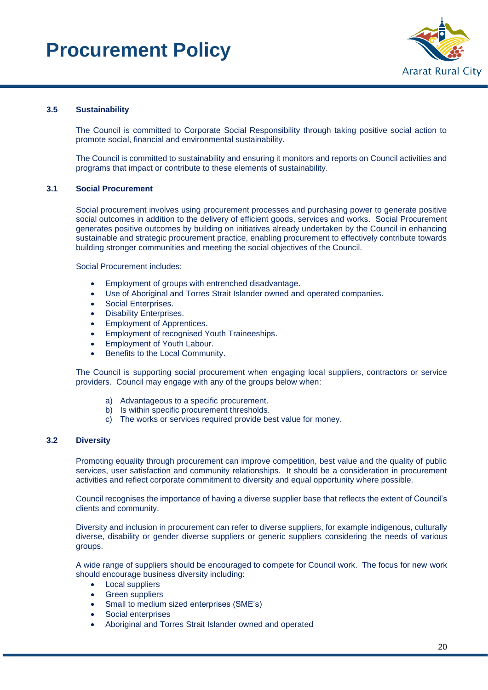

#### <span id="page-19-0"></span>**3.5 Sustainability**

The Council is committed to Corporate Social Responsibility through taking positive social action to promote social, financial and environmental sustainability.

The Council is committed to sustainability and ensuring it monitors and reports on Council activities and programs that impact or contribute to these elements of sustainability.

#### <span id="page-19-1"></span>**3.1 Social Procurement**

Social procurement involves using procurement processes and purchasing power to generate positive social outcomes in addition to the delivery of efficient goods, services and works. Social Procurement generates positive outcomes by building on initiatives already undertaken by the Council in enhancing sustainable and strategic procurement practice, enabling procurement to effectively contribute towards building stronger communities and meeting the social objectives of the Council.

Social Procurement includes:

- Employment of groups with entrenched disadvantage.
- Use of Aboriginal and Torres Strait Islander owned and operated companies.
- Social Enterprises.
- Disability Enterprises.
- Employment of Apprentices.
- Employment of recognised Youth Traineeships.
- Employment of Youth Labour.
- Benefits to the Local Community.

The Council is supporting social procurement when engaging local suppliers, contractors or service providers. Council may engage with any of the groups below when:

- a) Advantageous to a specific procurement.
- b) Is within specific procurement thresholds.
- c) The works or services required provide best value for money.

#### <span id="page-19-2"></span>**3.2 Diversity**

Promoting equality through procurement can improve competition, best value and the quality of public services, user satisfaction and community relationships. It should be a consideration in procurement activities and reflect corporate commitment to diversity and equal opportunity where possible.

Council recognises the importance of having a diverse supplier base that reflects the extent of Council's clients and community.

Diversity and inclusion in procurement can refer to diverse suppliers, for example indigenous, culturally diverse, disability or gender diverse suppliers or generic suppliers considering the needs of various groups.

A wide range of suppliers should be encouraged to compete for Council work. The focus for new work should encourage business diversity including:

- Local suppliers
- Green suppliers
- Small to medium sized enterprises (SME's)
- Social enterprises
- Aboriginal and Torres Strait Islander owned and operated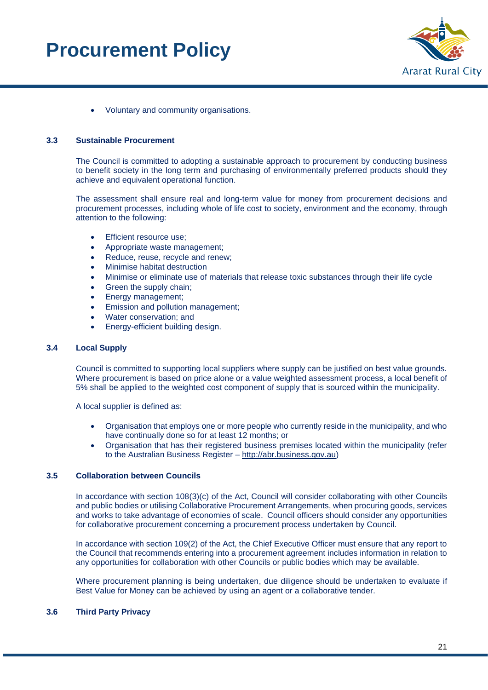

• Voluntary and community organisations.

#### <span id="page-20-0"></span>**3.3 Sustainable Procurement**

The Council is committed to adopting a sustainable approach to procurement by conducting business to benefit society in the long term and purchasing of environmentally preferred products should they achieve and equivalent operational function.

The assessment shall ensure real and long-term value for money from procurement decisions and procurement processes, including whole of life cost to society, environment and the economy, through attention to the following:

- Efficient resource use;
- Appropriate waste management;
- Reduce, reuse, recycle and renew;
- Minimise habitat destruction
- Minimise or eliminate use of materials that release toxic substances through their life cycle
- Green the supply chain;
- Energy management;
- Emission and pollution management;
- Water conservation; and
- Energy-efficient building design.

#### <span id="page-20-1"></span>**3.4 Local Supply**

Council is committed to supporting local suppliers where supply can be justified on best value grounds. Where procurement is based on price alone or a value weighted assessment process, a local benefit of 5% shall be applied to the weighted cost component of supply that is sourced within the municipality.

A local supplier is defined as:

- Organisation that employs one or more people who currently reside in the municipality, and who have continually done so for at least 12 months; or
- Organisation that has their registered business premises located within the municipality (refer to the Australian Business Register – [http://abr.business.gov.au\)](http://abr.business.gov.au/)

#### <span id="page-20-2"></span>**3.5 Collaboration between Councils**

In accordance with section 108(3)(c) of the Act, Council will consider collaborating with other Councils and public bodies or utilising Collaborative Procurement Arrangements, when procuring goods, services and works to take advantage of economies of scale. Council officers should consider any opportunities for collaborative procurement concerning a procurement process undertaken by Council.

In accordance with section 109(2) of the Act, the Chief Executive Officer must ensure that any report to the Council that recommends entering into a procurement agreement includes information in relation to any opportunities for collaboration with other Councils or public bodies which may be available.

Where procurement planning is being undertaken, due diligence should be undertaken to evaluate if Best Value for Money can be achieved by using an agent or a collaborative tender.

#### <span id="page-20-3"></span>**3.6 Third Party Privacy**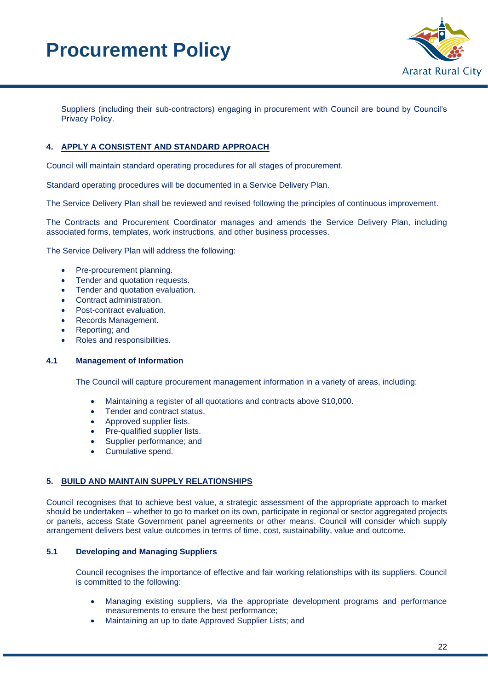

Suppliers (including their sub-contractors) engaging in procurement with Council are bound by Council's Privacy Policy.

#### <span id="page-21-0"></span>**4. APPLY A CONSISTENT AND STANDARD APPROACH**

Council will maintain standard operating procedures for all stages of procurement.

Standard operating procedures will be documented in a Service Delivery Plan.

The Service Delivery Plan shall be reviewed and revised following the principles of continuous improvement.

The Contracts and Procurement Coordinator manages and amends the Service Delivery Plan, including associated forms, templates, work instructions, and other business processes.

The Service Delivery Plan will address the following:

- Pre-procurement planning.
- Tender and quotation requests.
- Tender and quotation evaluation.
- Contract administration.
- Post-contract evaluation.
- Records Management.
- Reporting; and
- Roles and responsibilities.

#### <span id="page-21-1"></span>**4.1 Management of Information**

The Council will capture procurement management information in a variety of areas, including:

- Maintaining a register of all quotations and contracts above \$10,000.
- Tender and contract status.
- Approved supplier lists.
- Pre-qualified supplier lists.
- Supplier performance; and
- Cumulative spend.

#### <span id="page-21-2"></span>**5. BUILD AND MAINTAIN SUPPLY RELATIONSHIPS**

Council recognises that to achieve best value, a strategic assessment of the appropriate approach to market should be undertaken – whether to go to market on its own, participate in regional or sector aggregated projects or panels, access State Government panel agreements or other means. Council will consider which supply arrangement delivers best value outcomes in terms of time, cost, sustainability, value and outcome.

#### <span id="page-21-3"></span>**5.1 Developing and Managing Suppliers**

Council recognises the importance of effective and fair working relationships with its suppliers. Council is committed to the following:

- Managing existing suppliers, via the appropriate development programs and performance measurements to ensure the best performance;
- Maintaining an up to date Approved Supplier Lists; and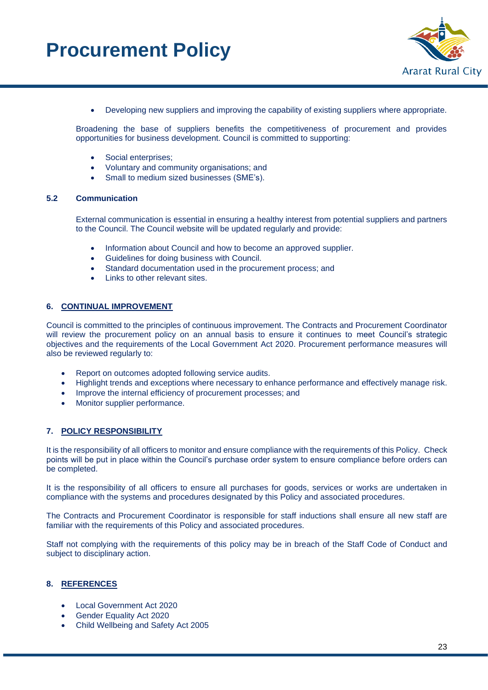

• Developing new suppliers and improving the capability of existing suppliers where appropriate.

Broadening the base of suppliers benefits the competitiveness of procurement and provides opportunities for business development. Council is committed to supporting:

- Social enterprises;
- Voluntary and community organisations; and
- Small to medium sized businesses (SME's).

#### <span id="page-22-0"></span>**5.2 Communication**

External communication is essential in ensuring a healthy interest from potential suppliers and partners to the Council. The Council website will be updated regularly and provide:

- Information about Council and how to become an approved supplier.
- Guidelines for doing business with Council.
- Standard documentation used in the procurement process; and
- Links to other relevant sites.

#### <span id="page-22-1"></span>**6. CONTINUAL IMPROVEMENT**

Council is committed to the principles of continuous improvement. The Contracts and Procurement Coordinator will review the procurement policy on an annual basis to ensure it continues to meet Council's strategic objectives and the requirements of the Local Government Act 2020. Procurement performance measures will also be reviewed regularly to:

- Report on outcomes adopted following service audits.
- Highlight trends and exceptions where necessary to enhance performance and effectively manage risk.
- Improve the internal efficiency of procurement processes; and
- Monitor supplier performance.

#### <span id="page-22-2"></span>**7. POLICY RESPONSIBILITY**

It is the responsibility of all officers to monitor and ensure compliance with the requirements of this Policy. Check points will be put in place within the Council's purchase order system to ensure compliance before orders can be completed.

It is the responsibility of all officers to ensure all purchases for goods, services or works are undertaken in compliance with the systems and procedures designated by this Policy and associated procedures.

The Contracts and Procurement Coordinator is responsible for staff inductions shall ensure all new staff are familiar with the requirements of this Policy and associated procedures.

Staff not complying with the requirements of this policy may be in breach of the Staff Code of Conduct and subject to disciplinary action.

#### <span id="page-22-3"></span>**8. REFERENCES**

- Local Government Act 2020
- Gender Equality Act 2020
- Child Wellbeing and Safety Act 2005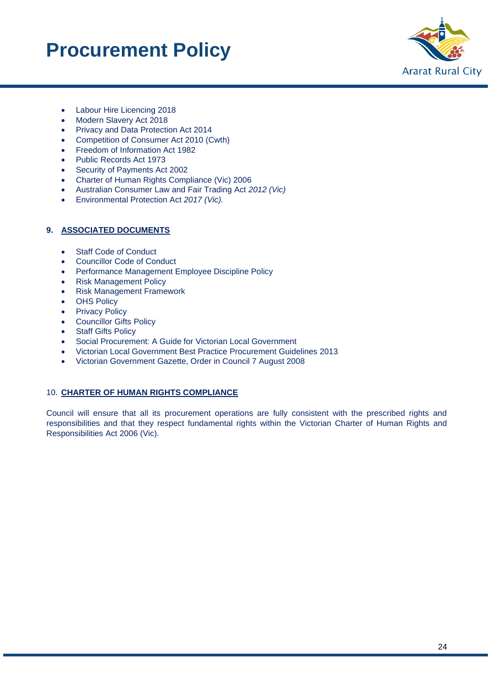

- Labour Hire Licencing 2018
- Modern Slavery Act 2018
- Privacy and Data Protection Act 2014
- Competition of Consumer Act 2010 (Cwth)
- Freedom of Information Act 1982
- Public Records Act 1973
- Security of Payments Act 2002
- Charter of Human Rights Compliance (Vic) 2006
- Australian Consumer Law and Fair Trading Act *2012 (Vic)*
- Environmental Protection Act *2017 (Vic).*

#### <span id="page-23-0"></span>**9. ASSOCIATED DOCUMENTS**

- Staff Code of Conduct
- Councillor Code of Conduct
- Performance Management Employee Discipline Policy
- Risk Management Policy
- Risk Management Framework
- OHS Policy
- Privacy Policy
- Councillor Gifts Policy
- Staff Gifts Policy
- Social Procurement: A Guide for Victorian Local Government
- Victorian Local Government Best Practice Procurement Guidelines 2013
- Victorian Government Gazette, Order in Council 7 August 2008

#### <span id="page-23-1"></span>10. **CHARTER OF HUMAN RIGHTS COMPLIANCE**

Council will ensure that all its procurement operations are fully consistent with the prescribed rights and responsibilities and that they respect fundamental rights within the Victorian Charter of Human Rights and Responsibilities Act 2006 (Vic).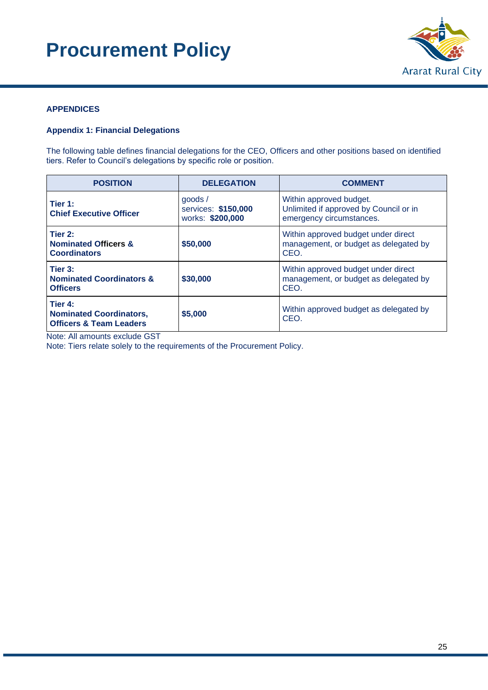

#### <span id="page-24-0"></span>**APPENDICES**

#### <span id="page-24-1"></span>**Appendix 1: Financial Delegations**

The following table defines financial delegations for the CEO, Officers and other positions based on identified tiers. Refer to Council's delegations by specific role or position.

| <b>POSITION</b>                                                                 | <b>DELEGATION</b>                                 | <b>COMMENT</b>                                                                                |
|---------------------------------------------------------------------------------|---------------------------------------------------|-----------------------------------------------------------------------------------------------|
| Tier 1:<br><b>Chief Executive Officer</b>                                       | qoods/<br>services: \$150,000<br>works: \$200,000 | Within approved budget.<br>Unlimited if approved by Council or in<br>emergency circumstances. |
| Tier 2:<br><b>Nominated Officers &amp;</b><br><b>Coordinators</b>               | \$50,000                                          | Within approved budget under direct<br>management, or budget as delegated by<br>CEO.          |
| Tier 3:<br><b>Nominated Coordinators &amp;</b><br><b>Officers</b>               | \$30,000                                          | Within approved budget under direct<br>management, or budget as delegated by<br>CEO.          |
| Tier 4:<br><b>Nominated Coordinators,</b><br><b>Officers &amp; Team Leaders</b> | \$5,000                                           | Within approved budget as delegated by<br>CEO.                                                |

Note: All amounts exclude GST

Note: Tiers relate solely to the requirements of the Procurement Policy.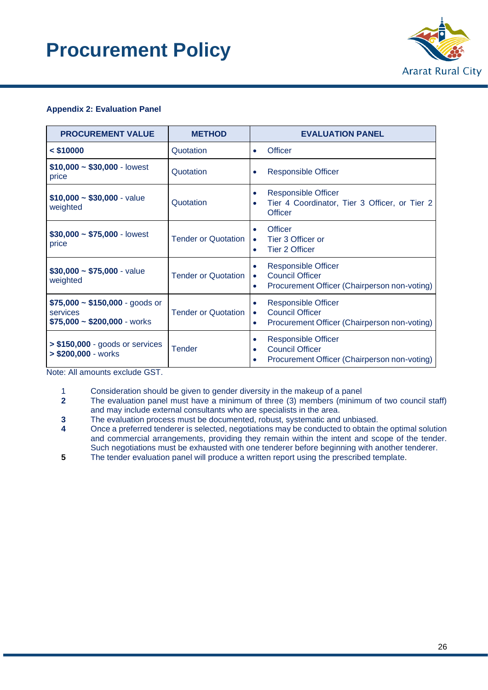

#### <span id="page-25-0"></span>**Appendix 2: Evaluation Panel**

| <b>PROCUREMENT VALUE</b>                                                          | <b>METHOD</b>              | <b>EVALUATION PANEL</b>                                                                                                             |  |
|-----------------------------------------------------------------------------------|----------------------------|-------------------------------------------------------------------------------------------------------------------------------------|--|
| $<$ \$10000                                                                       | Quotation                  | <b>Officer</b><br>٠                                                                                                                 |  |
| $$10,000 \sim $30,000$ - lowest<br>price                                          | Quotation                  | <b>Responsible Officer</b><br>$\bullet$                                                                                             |  |
| $$10,000 \sim $30,000$ - value<br>weighted                                        | Quotation                  | Responsible Officer<br>$\bullet$<br>Tier 4 Coordinator, Tier 3 Officer, or Tier 2<br>$\bullet$<br><b>Officer</b>                    |  |
| $$30,000 \sim $75,000$ - lowest<br>price                                          | <b>Tender or Quotation</b> | <b>Officer</b><br>$\bullet$<br>Tier 3 Officer or<br>$\bullet$<br><b>Tier 2 Officer</b><br>۰                                         |  |
| $$30,000 \sim $75,000$ - value<br>weighted                                        | <b>Tender or Quotation</b> | <b>Responsible Officer</b><br>$\bullet$<br><b>Council Officer</b><br>$\bullet$<br>Procurement Officer (Chairperson non-voting)<br>٠ |  |
| $$75,000 \sim $150,000$ - goods or<br>services<br>$$75,000 \sim $200,000$ - works | <b>Tender or Quotation</b> | <b>Responsible Officer</b><br>$\bullet$<br><b>Council Officer</b><br>$\bullet$<br>Procurement Officer (Chairperson non-voting)<br>٠ |  |
| $> $150,000$ - goods or services<br>$> $200,000 - works$                          | <b>Tender</b>              | <b>Responsible Officer</b><br>٠<br><b>Council Officer</b><br>٠<br>Procurement Officer (Chairperson non-voting)                      |  |

Note: All amounts exclude GST.

1 Consideration should be given to gender diversity in the makeup of a panel

**2** The evaluation panel must have a minimum of three (3) members (minimum of two council staff) and may include external consultants who are specialists in the area.

**3** The evaluation process must be documented, robust, systematic and unbiased.

**4** Once a preferred tenderer is selected, negotiations may be conducted to obtain the optimal solution and commercial arrangements, providing they remain within the intent and scope of the tender. Such negotiations must be exhausted with one tenderer before beginning with another tenderer.

**5** The tender evaluation panel will produce a written report using the prescribed template.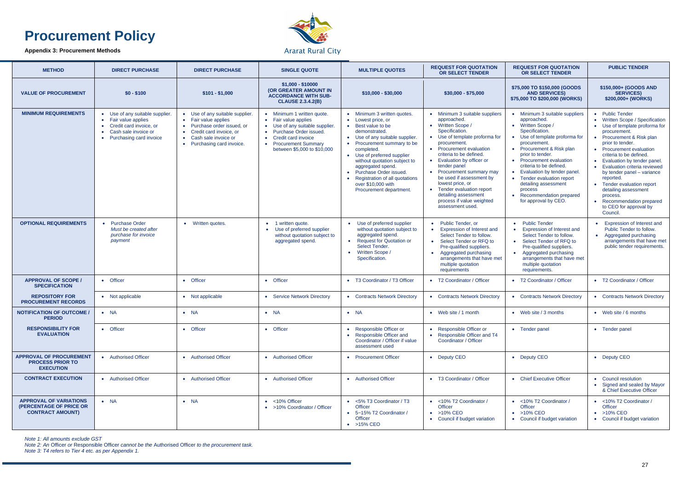#### <span id="page-26-0"></span>**Appendix 3: Procurement Methods**



#### **Ararat Rural City**

| <b>METHOD</b>                                                                       | <b>DIRECT PURCHASE</b>                                                                                                              | <b>DIRECT PURCHASE</b>                                                                                                                                                | <b>SINGLE QUOTE</b>                                                                                                                                                                                | <b>MULTIPLE QUOTES</b>                                                                                                                                                                                                                                                                                                                                               | <b>REQUEST FOR QUOTATION</b><br><b>OR SELECT TENDER</b>                                                                                                                                                                                                                                                                                                                                                                                               | <b>REQUEST FOR QUOTATION</b><br><b>OR SELECT TENDER</b>                                                                                                                                                                                                                                                                                                                                               | <b>PUBLIC TENDER</b>                                                                                                                                                                                                                                                                                                                                                                                                                                           |
|-------------------------------------------------------------------------------------|-------------------------------------------------------------------------------------------------------------------------------------|-----------------------------------------------------------------------------------------------------------------------------------------------------------------------|----------------------------------------------------------------------------------------------------------------------------------------------------------------------------------------------------|----------------------------------------------------------------------------------------------------------------------------------------------------------------------------------------------------------------------------------------------------------------------------------------------------------------------------------------------------------------------|-------------------------------------------------------------------------------------------------------------------------------------------------------------------------------------------------------------------------------------------------------------------------------------------------------------------------------------------------------------------------------------------------------------------------------------------------------|-------------------------------------------------------------------------------------------------------------------------------------------------------------------------------------------------------------------------------------------------------------------------------------------------------------------------------------------------------------------------------------------------------|----------------------------------------------------------------------------------------------------------------------------------------------------------------------------------------------------------------------------------------------------------------------------------------------------------------------------------------------------------------------------------------------------------------------------------------------------------------|
| <b>VALUE OF PROCUREMENT</b>                                                         | $$0 - $100$                                                                                                                         | $$101 - $1,000$                                                                                                                                                       | \$1,000 - \$10000<br>(OR GREATER AMOUNT IN<br><b>ACCORDANCE WITH SUB-</b><br><b>CLAUSE 2.3.4.2(B)</b>                                                                                              | $$10,000 - $30,000$                                                                                                                                                                                                                                                                                                                                                  | $$30,000 - $75,000$                                                                                                                                                                                                                                                                                                                                                                                                                                   | \$75,000 TO \$150,000 (GOODS<br><b>AND SERVICES)</b><br>\$75,000 TO \$200,000 (WORKS)                                                                                                                                                                                                                                                                                                                 | \$150,000+ (GOODS AND<br><b>SERVICES)</b><br>\$200,000+ (WORKS)                                                                                                                                                                                                                                                                                                                                                                                                |
| <b>MINIMUM REQUIREMENTS</b>                                                         | • Use of any suitable supplier.<br>Fair value applies<br>Credit card invoice, or<br>Cash sale invoice or<br>Purchasing card invoice | • Use of any suitable supplier.<br>• Fair value applies<br>Purchase order issued, or<br>Credit card invoice, or<br>Cash sale invoice or<br>• Purchasing card invoice. | • Minimum 1 written quote.<br>• Fair value applies<br>• Use of any suitable supplier.<br>• Purchase Order issued.<br>• Credit card invoice<br>• Procurement Summary<br>between \$5,000 to \$10,000 | • Minimum 3 written quotes.<br>Lowest price, or<br>Best value to be<br>demonstrated.<br>• Use of any suitable supplier<br>• Procurement summary to be<br>completed.<br>• Use of preferred supplier<br>without quotation subject to<br>aggregated spend.<br>Purchase Order issued.<br>Registration of all quotations<br>over \$10,000 with<br>Procurement department. | • Minimum 3 suitable suppliers<br>approached.<br>• Written Scope /<br>Specification.<br>Use of template proforma for<br>$\bullet$<br>procurement.<br>• Procurement evaluation<br>criteria to be defined.<br>• Evaluation by officer or<br>tender panel<br>Procurement summary may<br>$\bullet$<br>be used if assessment by<br>lowest price, or<br>• Tender evaluation report<br>detailing assessment<br>process if value weighted<br>assessment used. | • Minimum 3 suitable suppliers<br>approached.<br>• Written Scope /<br>Specification.<br>• Use of template proforma for<br>procurement.<br>• Procurement & Risk plan<br>prior to tender.<br>• Procurement evaluation<br>criteria to be defined.<br>• Evaluation by tender panel.<br>• Tender evaluation report<br>detailing assessment<br>process<br>• Recommendation prepared<br>for approval by CEO. | • Public Tender<br>Written Scope / Specification<br>• Use of template proforma for<br>procurement.<br>• Procurement & Risk plan<br>prior to tender.<br>• Procurement evaluation<br>criteria to be defined.<br>Evaluation by tender panel.<br><b>Evaluation criteria reviewed</b><br>by tender panel - variance<br>reported.<br>• Tender evaluation report<br>detailing assessment<br>process.<br>Recommendation prepared<br>to CEO for approval by<br>Council. |
| <b>OPTIONAL REQUIREMENTS</b>                                                        | <b>Purchase Order</b><br>$\bullet$<br>Must be created after<br>purchase for invoice<br>payment                                      | • Written quotes.                                                                                                                                                     | • 1 written quote.<br>Use of preferred supplier<br>$\bullet$<br>without quotation subject to<br>aggregated spend.                                                                                  | • Use of preferred supplier<br>without quotation subject to<br>aggregated spend.<br>• Request for Quotation or<br>Select Tender.<br><b>Written Scope /</b><br>Specification.                                                                                                                                                                                         | Public Tender, or<br><b>Expression of Interest and</b><br>Select Tender to follow.<br>Select Tender or RFQ to<br>$\bullet$<br>Pre-qualified suppliers.<br>Aggregated purchasing<br>arrangements that have met<br>multiple quotation<br>requirements                                                                                                                                                                                                   | <b>Public Tender</b><br>$\bullet$<br>• Expression of Interest and<br>Select Tender to follow.<br>• Select Tender of RFQ to<br>Pre-qualified suppliers.<br>• Aggregated purchasing<br>arrangements that have met<br>multiple quotation<br>requirements.                                                                                                                                                | <b>Expression of Interest and</b><br>$\bullet$<br>Public Tender to follow.<br>Aggregated purchasing<br>arrangements that have met<br>public tender requirements.                                                                                                                                                                                                                                                                                               |
| <b>APPROVAL OF SCOPE /</b><br><b>SPECIFICATION</b>                                  | • Officer                                                                                                                           | • Officer                                                                                                                                                             | • Officer                                                                                                                                                                                          | • T3 Coordinator / T3 Officer                                                                                                                                                                                                                                                                                                                                        | • T2 Coordinator / Officer                                                                                                                                                                                                                                                                                                                                                                                                                            | • T2 Coordinator / Officer                                                                                                                                                                                                                                                                                                                                                                            | • T2 Coordinator / Officer                                                                                                                                                                                                                                                                                                                                                                                                                                     |
| <b>REPOSITORY FOR</b><br><b>PROCUREMENT RECORDS</b>                                 | • Not applicable                                                                                                                    | • Not applicable                                                                                                                                                      | • Service Network Directory                                                                                                                                                                        | • Contracts Network Directory                                                                                                                                                                                                                                                                                                                                        | <b>Contracts Network Directory</b>                                                                                                                                                                                                                                                                                                                                                                                                                    | • Contracts Network Directory                                                                                                                                                                                                                                                                                                                                                                         | • Contracts Network Directory                                                                                                                                                                                                                                                                                                                                                                                                                                  |
| <b>NOTIFICATION OF OUTCOME /</b><br><b>PERIOD</b>                                   | $\bullet$ NA                                                                                                                        | $\bullet$ NA                                                                                                                                                          | $\bullet$ NA                                                                                                                                                                                       | $\bullet$ NA                                                                                                                                                                                                                                                                                                                                                         | • Web site / 1 month                                                                                                                                                                                                                                                                                                                                                                                                                                  | $\bullet$ Web site / 3 months                                                                                                                                                                                                                                                                                                                                                                         | $\bullet$ Web site / 6 months                                                                                                                                                                                                                                                                                                                                                                                                                                  |
| <b>RESPONSIBILITY FOR</b><br><b>EVALUATION</b>                                      | • Officer                                                                                                                           | • Officer                                                                                                                                                             | • Officer                                                                                                                                                                                          | • Responsible Officer or<br>Responsible Officer and<br>Coordinator / Officer if value<br>assessment used                                                                                                                                                                                                                                                             | • Responsible Officer or<br>Responsible Officer and T4<br>$\bullet$<br>Coordinator / Officer                                                                                                                                                                                                                                                                                                                                                          | • Tender panel                                                                                                                                                                                                                                                                                                                                                                                        | • Tender panel                                                                                                                                                                                                                                                                                                                                                                                                                                                 |
| <b>APPROVAL OF PROCUREMENT</b><br><b>PROCESS PRIOR TO</b><br><b>EXECUTION</b>       | • Authorised Officer                                                                                                                | • Authorised Officer                                                                                                                                                  | • Authorised Officer                                                                                                                                                                               | • Procurement Officer                                                                                                                                                                                                                                                                                                                                                | • Deputy CEO                                                                                                                                                                                                                                                                                                                                                                                                                                          | • Deputy CEO                                                                                                                                                                                                                                                                                                                                                                                          | • Deputy CEO                                                                                                                                                                                                                                                                                                                                                                                                                                                   |
| <b>CONTRACT EXECUTION</b>                                                           | • Authorised Officer                                                                                                                | • Authorised Officer                                                                                                                                                  | • Authorised Officer                                                                                                                                                                               | • Authorised Officer                                                                                                                                                                                                                                                                                                                                                 | • T3 Coordinator / Officer                                                                                                                                                                                                                                                                                                                                                                                                                            | • Chief Executive Officer                                                                                                                                                                                                                                                                                                                                                                             | • Council resolution<br>Signed and sealed by Mayor<br>& Chief Executive Officer                                                                                                                                                                                                                                                                                                                                                                                |
| <b>APPROVAL OF VARIATIONS</b><br>(PERCENTAGE OF PRICE OR<br><b>CONTRACT AMOUNT)</b> | $\bullet$ NA                                                                                                                        | $\bullet$ NA                                                                                                                                                          | $\bullet$ <10% Officer<br>• >10% Coordinator / Officer                                                                                                                                             | <5% T3 Coordinator / T3<br><b>Officer</b><br>• 5~15% T2 Coordinator /<br>Officer<br>$\bullet$ >15% CEO                                                                                                                                                                                                                                                               | • <10% T2 Coordinator /<br>Officer<br>$\bullet$ >10% CEO<br>Council if budget variation<br>$\bullet$                                                                                                                                                                                                                                                                                                                                                  | • <10% T2 Coordinator /<br>Officer<br>$\bullet$ >10% CEO<br>• Council if budget variation                                                                                                                                                                                                                                                                                                             | • <10% T2 Coordinator /<br><b>Officer</b><br>$\bullet$ >10% CEO<br>Council if budget variation                                                                                                                                                                                                                                                                                                                                                                 |

*Note 1: All amounts exclude GST*

*Note 2: An* Officer *or* Responsible Officer *cannot be the* Authorised Officer *to the procurement task.*

*Note 3: T4 refers to Tier 4 etc. as per Appendix 1.*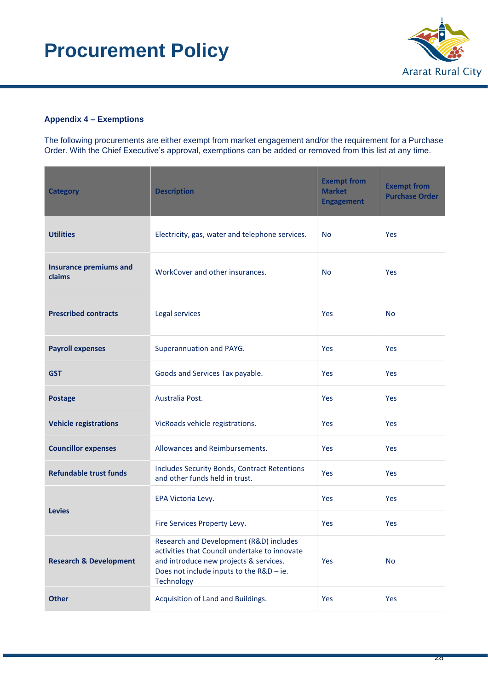

#### <span id="page-27-0"></span>**Appendix 4 – Exemptions**

The following procurements are either exempt from market engagement and/or the requirement for a Purchase Order. With the Chief Executive's approval, exemptions can be added or removed from this list at any time.

| <b>Category</b>                         | <b>Description</b>                                                                                                                                                                           |            | <b>Exempt from</b><br><b>Purchase Order</b> |
|-----------------------------------------|----------------------------------------------------------------------------------------------------------------------------------------------------------------------------------------------|------------|---------------------------------------------|
| <b>Utilities</b>                        | Electricity, gas, water and telephone services.                                                                                                                                              | <b>No</b>  | Yes                                         |
| <b>Insurance premiums and</b><br>claims | WorkCover and other insurances.                                                                                                                                                              | <b>No</b>  | Yes                                         |
| <b>Prescribed contracts</b>             | Legal services                                                                                                                                                                               | <b>Yes</b> | <b>No</b>                                   |
| <b>Payroll expenses</b>                 | Superannuation and PAYG.                                                                                                                                                                     | Yes        | Yes                                         |
| <b>GST</b>                              | Goods and Services Tax payable.                                                                                                                                                              | <b>Yes</b> | Yes                                         |
| <b>Postage</b>                          | Australia Post.                                                                                                                                                                              | Yes        | Yes                                         |
| <b>Vehicle registrations</b>            | VicRoads vehicle registrations.                                                                                                                                                              | Yes        | Yes                                         |
| <b>Councillor expenses</b>              | Allowances and Reimbursements.                                                                                                                                                               | Yes        | <b>Yes</b>                                  |
| <b>Refundable trust funds</b>           | Includes Security Bonds, Contract Retentions<br>and other funds held in trust.                                                                                                               | Yes        | Yes                                         |
|                                         | EPA Victoria Levy.                                                                                                                                                                           | Yes        | <b>Yes</b>                                  |
| <b>Levies</b>                           | Fire Services Property Levy.                                                                                                                                                                 | Yes        | Yes                                         |
| <b>Research &amp; Development</b>       | Research and Development (R&D) includes<br>activities that Council undertake to innovate<br>and introduce new projects & services.<br>Does not include inputs to the R&D - ie.<br>Technology | Yes        | <b>No</b>                                   |
| <b>Other</b>                            | Acquisition of Land and Buildings.                                                                                                                                                           | Yes        | Yes                                         |